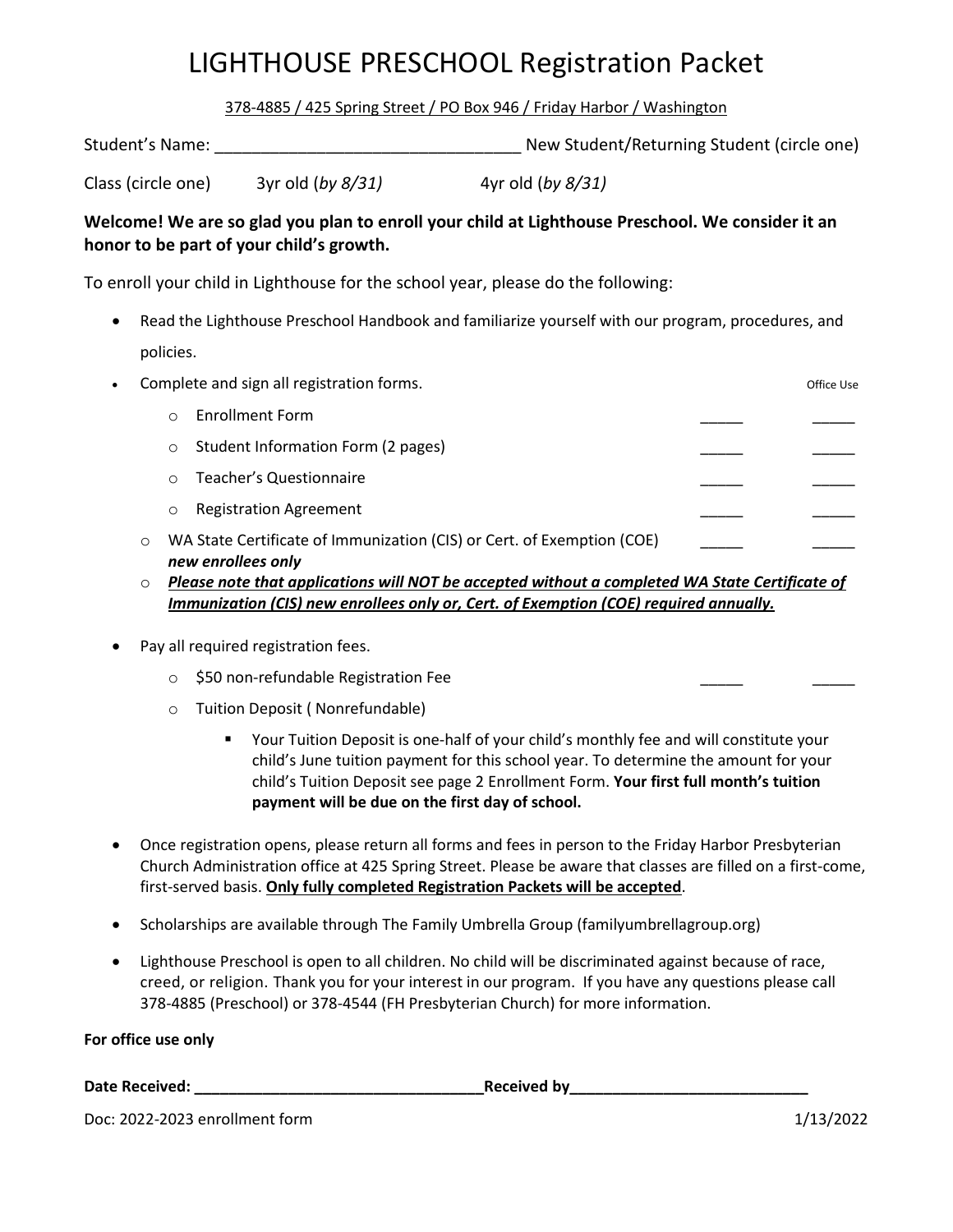# LIGHTHOUSE PRESCHOOL Registration Packet

378-4885 / 425 Spring Street / PO Box 946 / Friday Harbor / Washington

| Student's Name: | New Student/Returning Student (circle one) |
|-----------------|--------------------------------------------|
|                 |                                            |

Class (circle one) 3yr old (*by 8/31)* 4yr old (*by 8/31)*

#### **Welcome! We are so glad you plan to enroll your child at Lighthouse Preschool. We consider it an honor to be part of your child's growth.**

To enroll your child in Lighthouse for the school year, please do the following:

 Read the Lighthouse Preschool Handbook and familiarize yourself with our program, procedures, and policies.

| $\bullet$ |            | Complete and sign all registration forms.                                                    | Office Use |
|-----------|------------|----------------------------------------------------------------------------------------------|------------|
|           | $\bigcirc$ | Enrollment Form                                                                              |            |
|           | $\circ$    | Student Information Form (2 pages)                                                           |            |
|           | $\circ$    | <b>Teacher's Questionnaire</b>                                                               |            |
|           | $\circ$    | <b>Registration Agreement</b>                                                                |            |
|           | $\circ$    | WA State Certificate of Immunization (CIS) or Cert. of Exemption (COE)<br>new enrollees only |            |

- o *Please note that applications will NOT be accepted without a completed WA State Certificate of Immunization (CIS) new enrollees only or, Cert. of Exemption (COE) required annually.*
- Pay all required registration fees.
	- $\circ$  \$50 non-refundable Registration Fee
	- o Tuition Deposit ( Nonrefundable)
		- Your Tuition Deposit is one-half of your child's monthly fee and will constitute your child's June tuition payment for this school year. To determine the amount for your child's Tuition Deposit see page 2 Enrollment Form. **Your first full month's tuition payment will be due on the first day of school.**
- Once registration opens, please return all forms and fees in person to the Friday Harbor Presbyterian Church Administration office at 425 Spring Street. Please be aware that classes are filled on a first-come, first-served basis. **Only fully completed Registration Packets will be accepted**.
- Scholarships are available through The Family Umbrella Group (familyumbrellagroup.org)
- Lighthouse Preschool is open to all children. No child will be discriminated against because of race, creed, or religion. Thank you for your interest in our program. If you have any questions please call 378-4885 (Preschool) or 378-4544 (FH Presbyterian Church) for more information.

**For office use only**

**Date Received: \_\_\_\_\_\_\_\_\_\_\_\_\_\_\_\_\_\_\_\_\_\_\_\_\_\_\_\_\_\_\_\_\_\_Received by\_\_\_\_\_\_\_\_\_\_\_\_\_\_\_\_\_\_\_\_\_\_\_\_\_\_\_\_**

Doc: 2022-2023 enrollment form 1/13/2022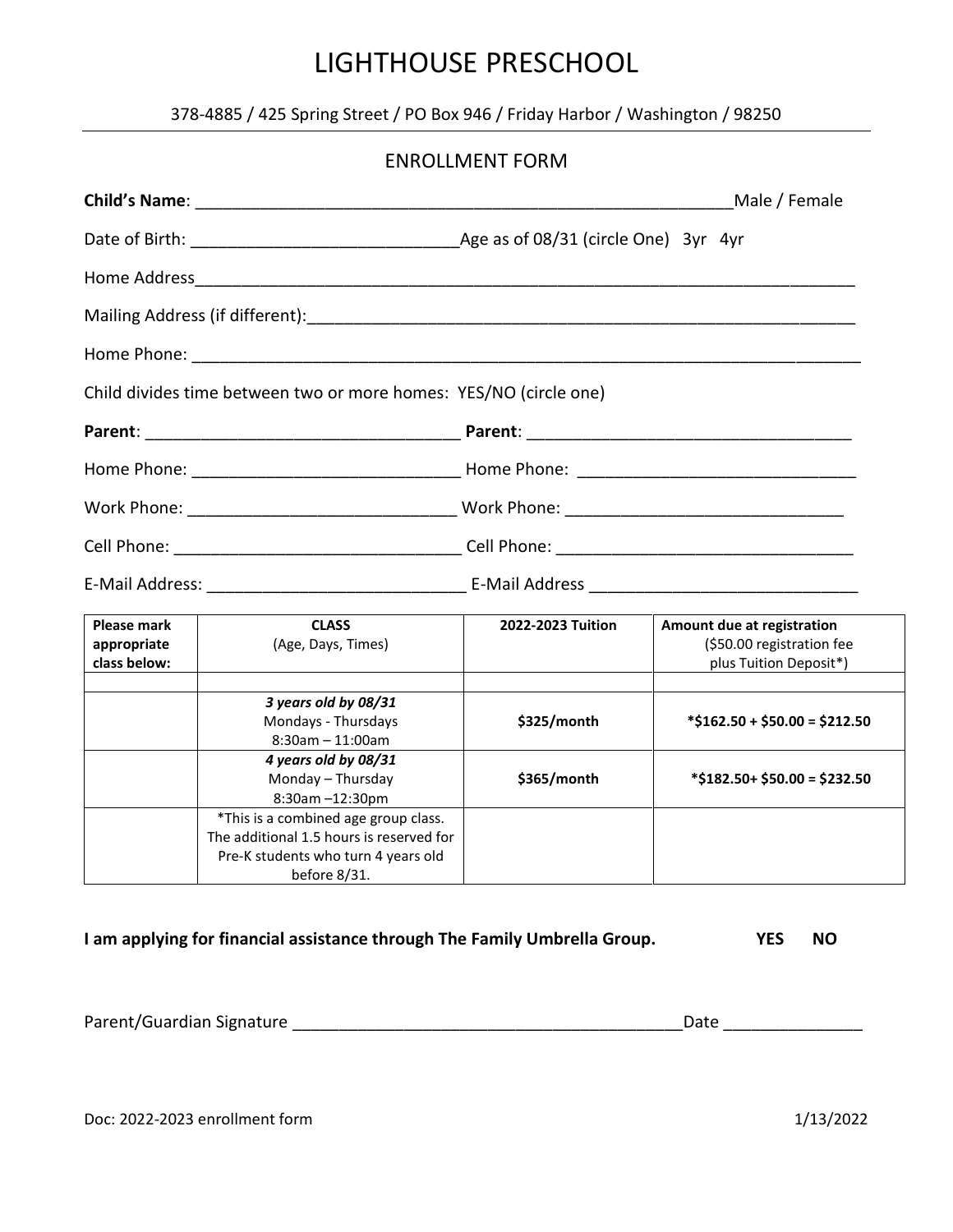### 378-4885 / 425 Spring Street / PO Box 946 / Friday Harbor / Washington / 98250

|                                                   |                                                                                                                                         | <b>ENROLLMENT FORM</b> |                                                                                   |
|---------------------------------------------------|-----------------------------------------------------------------------------------------------------------------------------------------|------------------------|-----------------------------------------------------------------------------------|
|                                                   |                                                                                                                                         |                        | Male / Female                                                                     |
|                                                   |                                                                                                                                         |                        |                                                                                   |
|                                                   |                                                                                                                                         |                        |                                                                                   |
|                                                   |                                                                                                                                         |                        |                                                                                   |
|                                                   |                                                                                                                                         |                        |                                                                                   |
|                                                   | Child divides time between two or more homes: YES/NO (circle one)                                                                       |                        |                                                                                   |
|                                                   |                                                                                                                                         |                        |                                                                                   |
|                                                   |                                                                                                                                         |                        |                                                                                   |
|                                                   |                                                                                                                                         |                        |                                                                                   |
|                                                   |                                                                                                                                         |                        |                                                                                   |
|                                                   |                                                                                                                                         |                        |                                                                                   |
| <b>Please mark</b><br>appropriate<br>class below: | <b>CLASS</b><br>(Age, Days, Times)                                                                                                      | 2022-2023 Tuition      | Amount due at registration<br>(\$50.00 registration fee<br>plus Tuition Deposit*) |
|                                                   | 3 years old by 08/31<br>Mondays - Thursdays<br>$8:30$ am $-11:00$ am                                                                    | \$325/month            | $*$ \$162.50 + \$50.00 = \$212.50                                                 |
|                                                   | 4 years old by 08/31<br>Monday - Thursday<br>$8:30$ am $-12:30$ pm                                                                      | \$365/month            | $*$ \$182.50+ \$50.00 = \$232.50                                                  |
|                                                   | *This is a combined age group class.<br>The additional 1.5 hours is reserved for<br>Pre-K students who turn 4 years old<br>before 8/31. |                        |                                                                                   |

#### **I am applying for financial assistance through The Family Umbrella Group. YES NO**

| Parent/Guardian Signature | Date |
|---------------------------|------|
|---------------------------|------|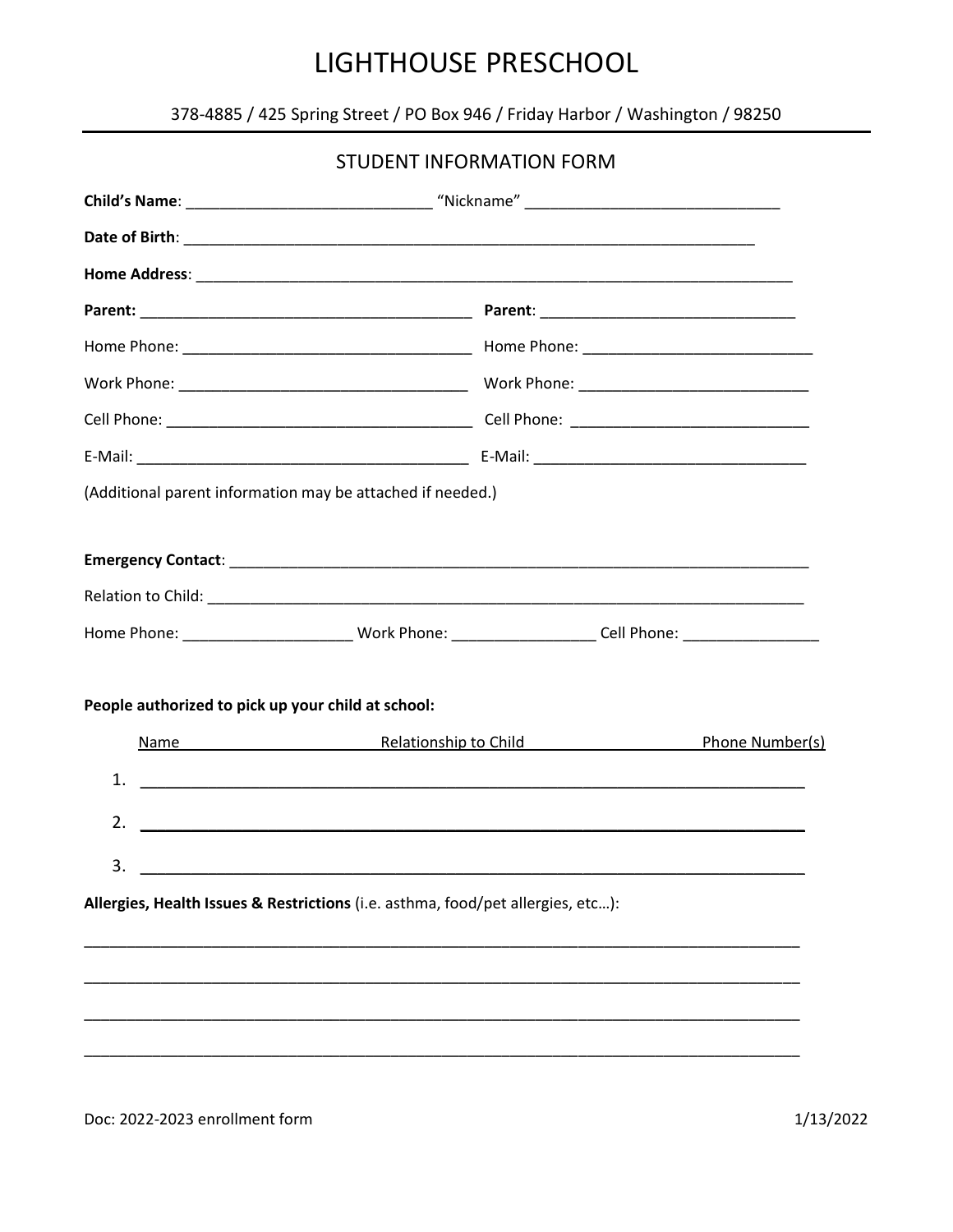378-4885 / 425 Spring Street / PO Box 946 / Friday Harbor / Washington / 98250

|                                                                                                           | <b>STUDENT INFORMATION FORM</b>                                                                                      |  |
|-----------------------------------------------------------------------------------------------------------|----------------------------------------------------------------------------------------------------------------------|--|
|                                                                                                           |                                                                                                                      |  |
|                                                                                                           |                                                                                                                      |  |
|                                                                                                           |                                                                                                                      |  |
|                                                                                                           |                                                                                                                      |  |
|                                                                                                           |                                                                                                                      |  |
|                                                                                                           |                                                                                                                      |  |
|                                                                                                           |                                                                                                                      |  |
|                                                                                                           |                                                                                                                      |  |
| (Additional parent information may be attached if needed.)                                                |                                                                                                                      |  |
|                                                                                                           |                                                                                                                      |  |
|                                                                                                           |                                                                                                                      |  |
|                                                                                                           |                                                                                                                      |  |
| Home Phone: ____________________________Work Phone: ____________________Cell Phone: _____________________ |                                                                                                                      |  |
|                                                                                                           |                                                                                                                      |  |
| People authorized to pick up your child at school:                                                        |                                                                                                                      |  |
|                                                                                                           | Name Manne Phone Number(s)                                                                                           |  |
| 1.                                                                                                        | <u> Alexandria de la contrada de la contrada de la contrada de la contrada de la contrada de la contrada de la c</u> |  |
| 2.                                                                                                        |                                                                                                                      |  |
| 3.<br><u> 1980 - Johann Barn, mars ann an t-</u>                                                          |                                                                                                                      |  |
| Allergies, Health Issues & Restrictions (i.e. asthma, food/pet allergies, etc):                           |                                                                                                                      |  |
|                                                                                                           |                                                                                                                      |  |
|                                                                                                           |                                                                                                                      |  |
|                                                                                                           |                                                                                                                      |  |
|                                                                                                           |                                                                                                                      |  |
|                                                                                                           |                                                                                                                      |  |

1/13/2022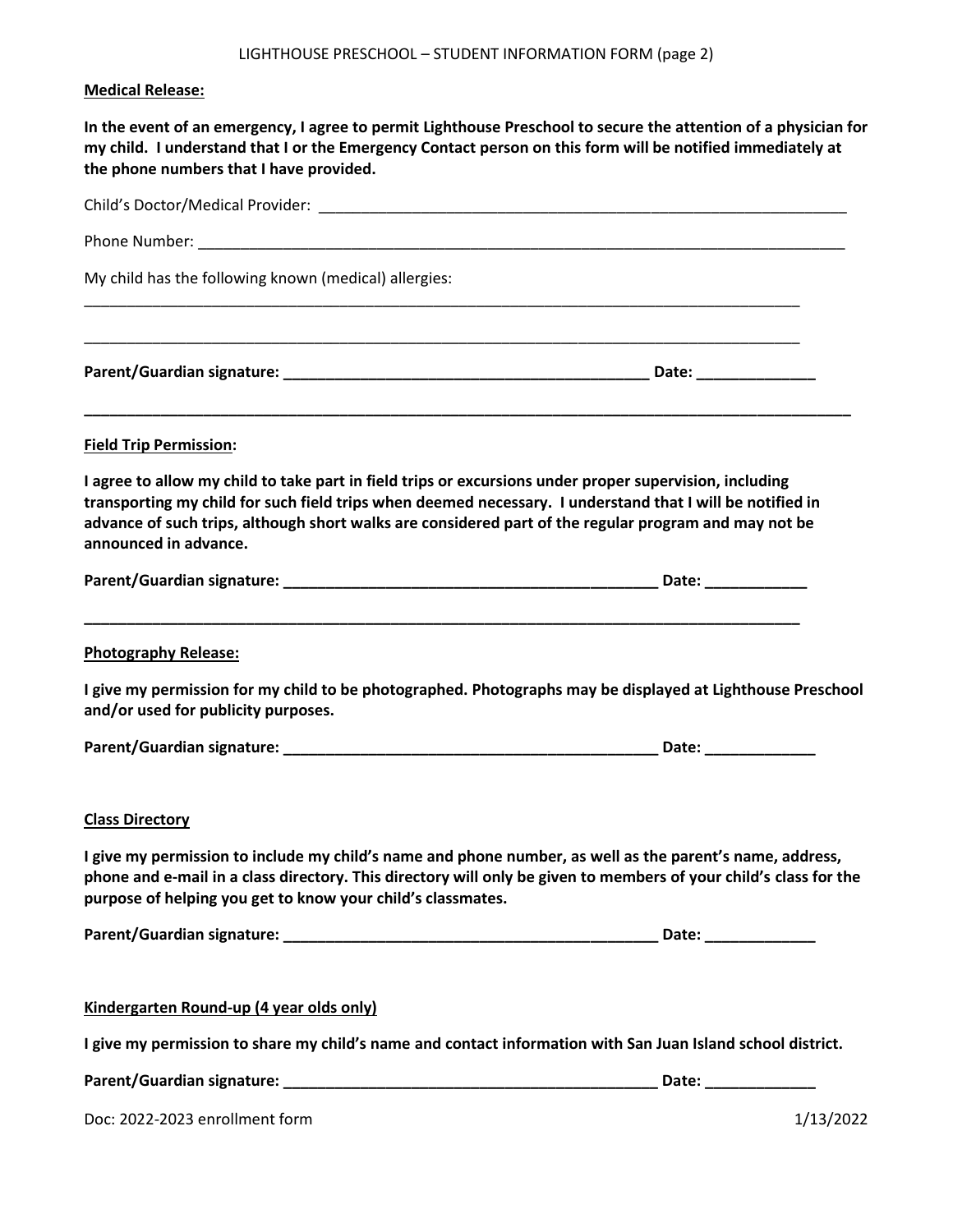#### **Medical Release:**

**In the event of an emergency, I agree to permit Lighthouse Preschool to secure the attention of a physician for my child. I understand that I or the Emergency Contact person on this form will be notified immediately at the phone numbers that I have provided.**

| My child has the following known (medical) allergies:                                                                                                                                                                                                                                                                                                  |                                                                                                                   |
|--------------------------------------------------------------------------------------------------------------------------------------------------------------------------------------------------------------------------------------------------------------------------------------------------------------------------------------------------------|-------------------------------------------------------------------------------------------------------------------|
|                                                                                                                                                                                                                                                                                                                                                        |                                                                                                                   |
| <b>Field Trip Permission:</b>                                                                                                                                                                                                                                                                                                                          |                                                                                                                   |
| I agree to allow my child to take part in field trips or excursions under proper supervision, including<br>transporting my child for such field trips when deemed necessary. I understand that I will be notified in<br>advance of such trips, although short walks are considered part of the regular program and may not be<br>announced in advance. |                                                                                                                   |
|                                                                                                                                                                                                                                                                                                                                                        |                                                                                                                   |
| <b>Photography Release:</b>                                                                                                                                                                                                                                                                                                                            |                                                                                                                   |
| and/or used for publicity purposes.                                                                                                                                                                                                                                                                                                                    | I give my permission for my child to be photographed. Photographs may be displayed at Lighthouse Preschool        |
|                                                                                                                                                                                                                                                                                                                                                        |                                                                                                                   |
| <b>Class Directory</b>                                                                                                                                                                                                                                                                                                                                 |                                                                                                                   |
| I give my permission to include my child's name and phone number, as well as the parent's name, address,<br>purpose of helping you get to know your child's classmates.                                                                                                                                                                                | phone and e-mail in a class directory. This directory will only be given to members of your child's class for the |
|                                                                                                                                                                                                                                                                                                                                                        | Date: __________                                                                                                  |
| Kindergarten Round-up (4 year olds only)                                                                                                                                                                                                                                                                                                               |                                                                                                                   |
| I give my permission to share my child's name and contact information with San Juan Island school district.                                                                                                                                                                                                                                            |                                                                                                                   |
|                                                                                                                                                                                                                                                                                                                                                        | Date: ______________                                                                                              |
| Doc: 2022-2023 enrollment form                                                                                                                                                                                                                                                                                                                         | 1/13/2022                                                                                                         |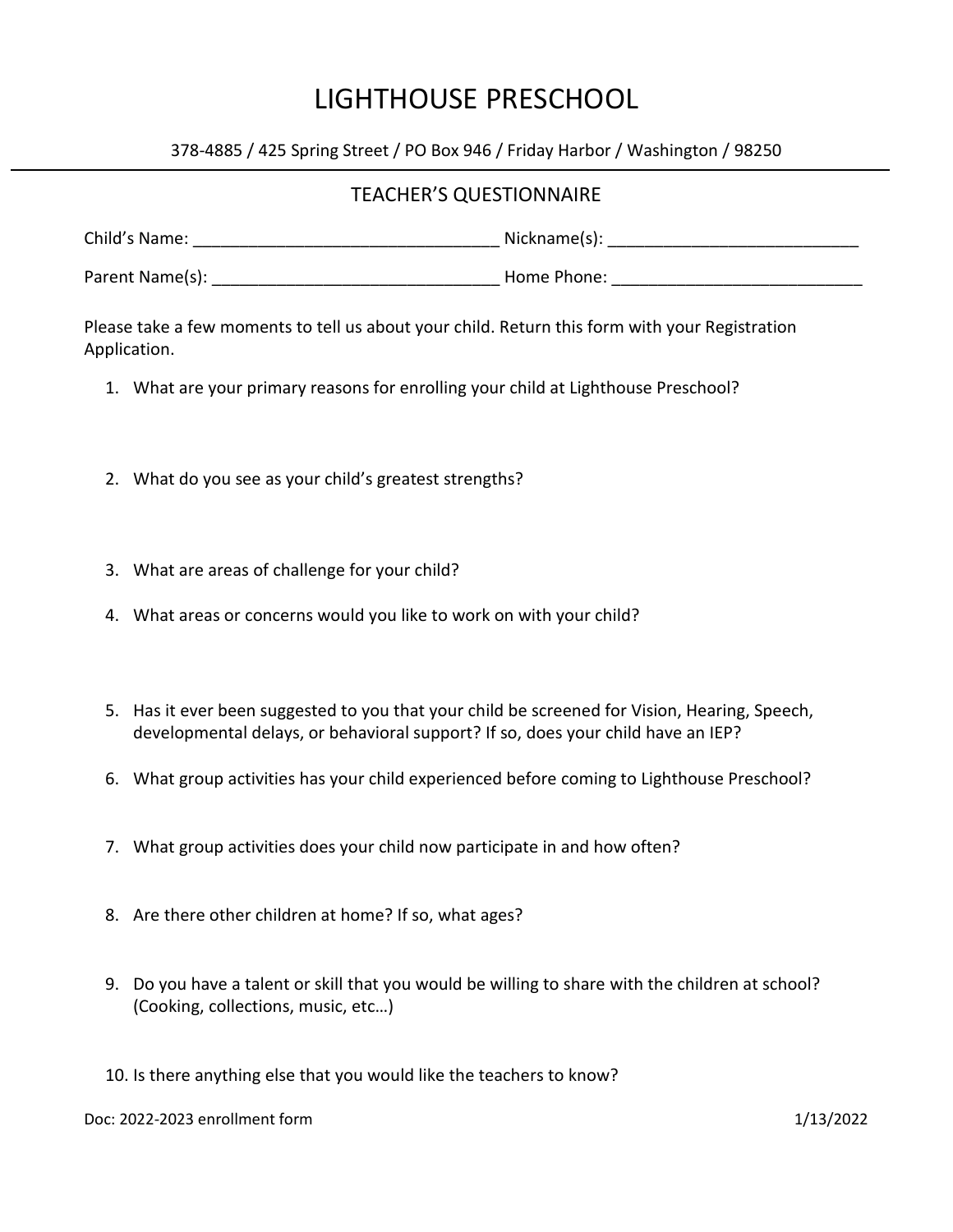378-4885 / 425 Spring Street / PO Box 946 / Friday Harbor / Washington / 98250

#### TEACHER'S QUESTIONNAIRE

| Child's Name:   | Nickname(s): |
|-----------------|--------------|
| Parent Name(s): | Home Phone:  |

Please take a few moments to tell us about your child. Return this form with your Registration Application.

- 1. What are your primary reasons for enrolling your child at Lighthouse Preschool?
- 2. What do you see as your child's greatest strengths?
- 3. What are areas of challenge for your child?
- 4. What areas or concerns would you like to work on with your child?
- 5. Has it ever been suggested to you that your child be screened for Vision, Hearing, Speech, developmental delays, or behavioral support? If so, does your child have an IEP?
- 6. What group activities has your child experienced before coming to Lighthouse Preschool?
- 7. What group activities does your child now participate in and how often?
- 8. Are there other children at home? If so, what ages?
- 9. Do you have a talent or skill that you would be willing to share with the children at school? (Cooking, collections, music, etc…)
- 10. Is there anything else that you would like the teachers to know?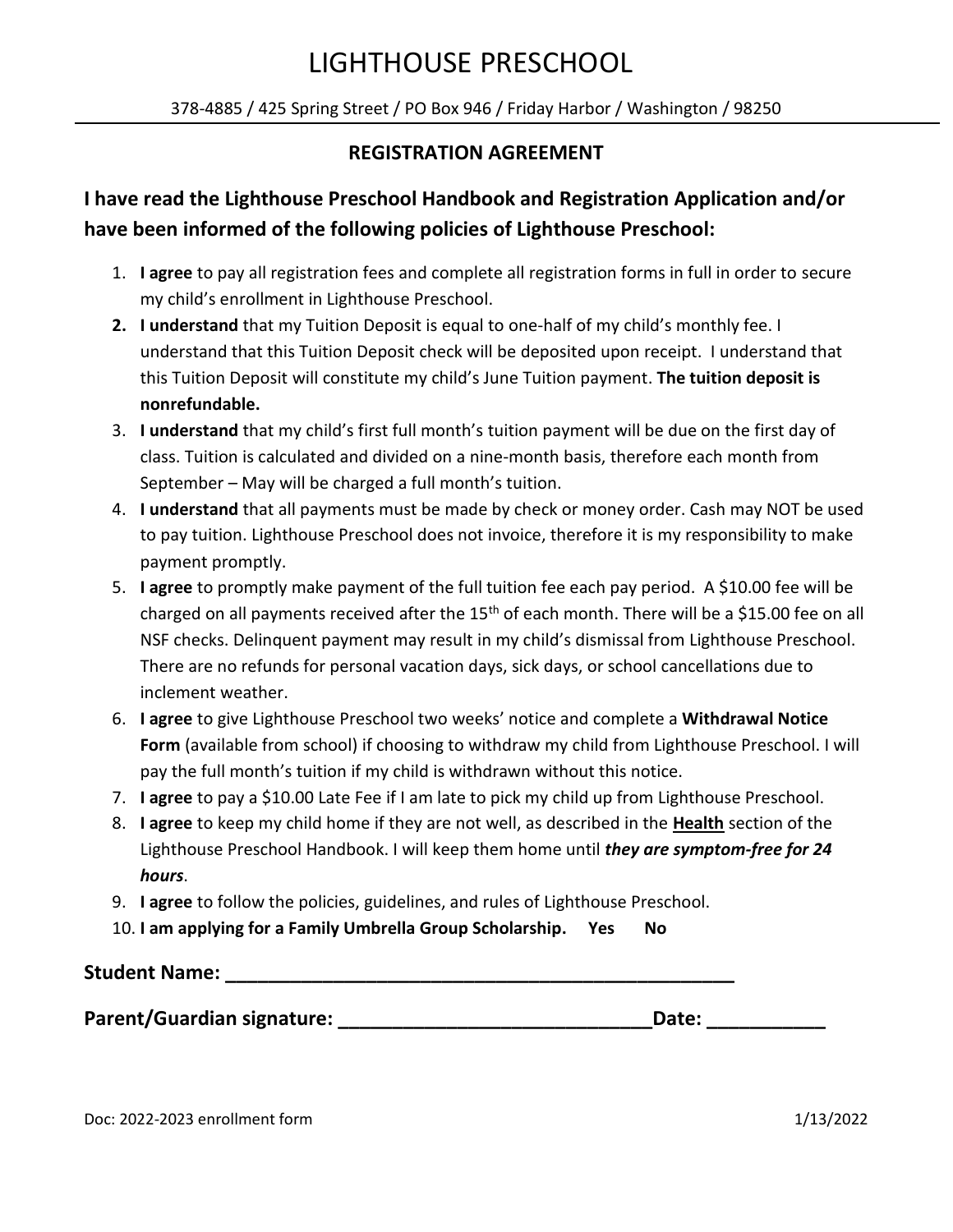378-4885 / 425 Spring Street / PO Box 946 / Friday Harbor / Washington / 98250

#### **REGISTRATION AGREEMENT**

# **I have read the Lighthouse Preschool Handbook and Registration Application and/or have been informed of the following policies of Lighthouse Preschool:**

- 1. **I agree** to pay all registration fees and complete all registration forms in full in order to secure my child's enrollment in Lighthouse Preschool.
- **2. I understand** that my Tuition Deposit is equal to one-half of my child's monthly fee. I understand that this Tuition Deposit check will be deposited upon receipt. I understand that this Tuition Deposit will constitute my child's June Tuition payment. **The tuition deposit is nonrefundable.**
- 3. **I understand** that my child's first full month's tuition payment will be due on the first day of class. Tuition is calculated and divided on a nine-month basis, therefore each month from September – May will be charged a full month's tuition.
- 4. **I understand** that all payments must be made by check or money order. Cash may NOT be used to pay tuition. Lighthouse Preschool does not invoice, therefore it is my responsibility to make payment promptly.
- 5. **I agree** to promptly make payment of the full tuition fee each pay period. A \$10.00 fee will be charged on all payments received after the  $15<sup>th</sup>$  of each month. There will be a \$15.00 fee on all NSF checks. Delinquent payment may result in my child's dismissal from Lighthouse Preschool. There are no refunds for personal vacation days, sick days, or school cancellations due to inclement weather.
- 6. **I agree** to give Lighthouse Preschool two weeks' notice and complete a **Withdrawal Notice Form** (available from school) if choosing to withdraw my child from Lighthouse Preschool. I will pay the full month's tuition if my child is withdrawn without this notice.
- 7. **I agree** to pay a \$10.00 Late Fee if I am late to pick my child up from Lighthouse Preschool.
- 8. **I agree** to keep my child home if they are not well, as described in the **Health** section of the Lighthouse Preschool Handbook. I will keep them home until *they are symptom-free for 24 hours*.
- 9. **I agree** to follow the policies, guidelines, and rules of Lighthouse Preschool.
- 10. **I am applying for a Family Umbrella Group Scholarship. Yes No**

# **Student Name: \_\_\_\_\_\_\_\_\_\_\_\_\_\_\_\_\_\_\_\_\_\_\_\_\_\_\_\_\_\_\_\_\_\_\_\_\_\_\_\_\_\_\_\_\_\_\_**

Parent/Guardian signature: **We are also constant of the Date:**  $\blacksquare$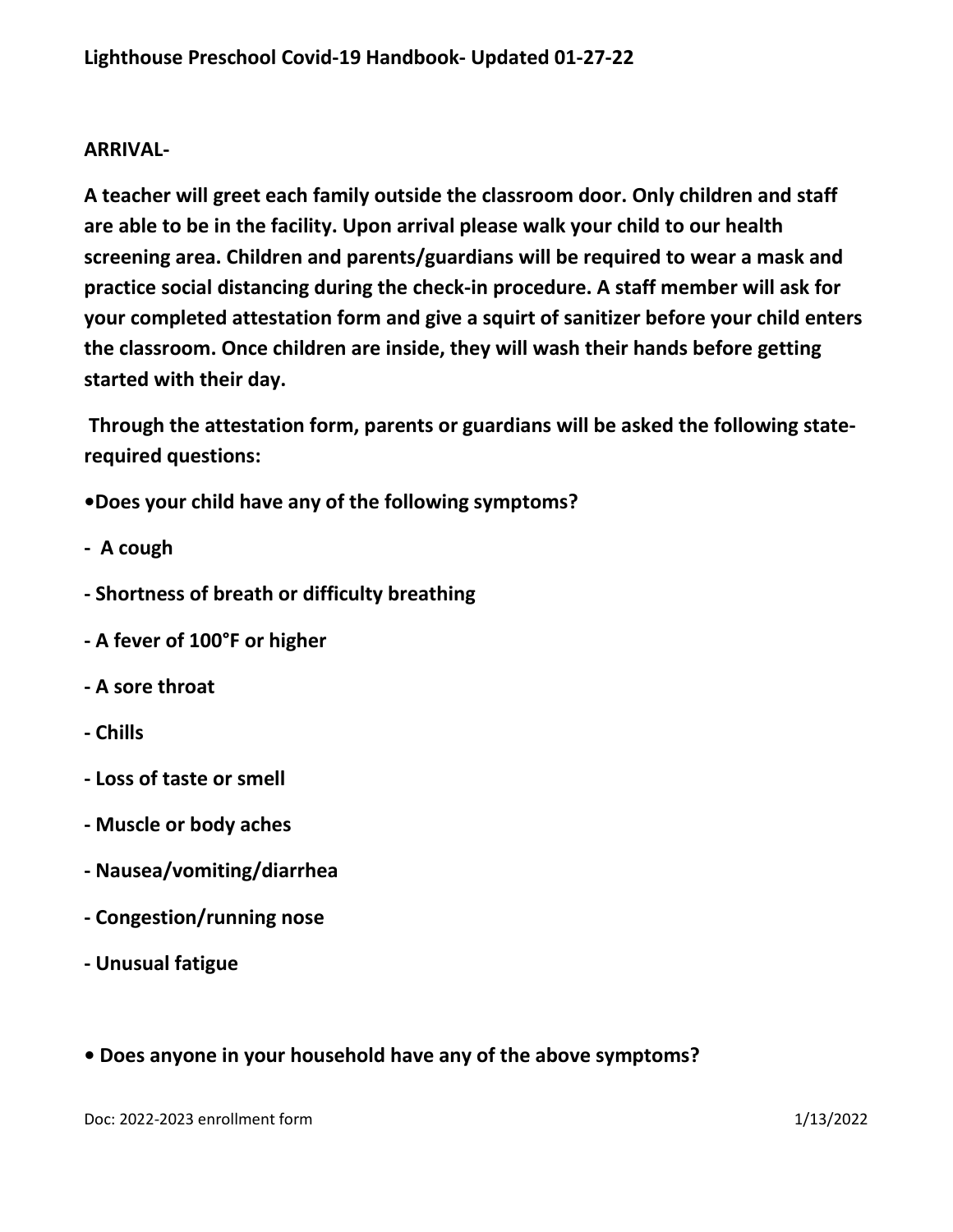#### **ARRIVAL-**

**A teacher will greet each family outside the classroom door. Only children and staff are able to be in the facility. Upon arrival please walk your child to our health screening area. Children and parents/guardians will be required to wear a mask and practice social distancing during the check-in procedure. A staff member will ask for your completed attestation form and give a squirt of sanitizer before your child enters the classroom. Once children are inside, they will wash their hands before getting started with their day.**

**Through the attestation form, parents or guardians will be asked the following staterequired questions:** 

**•Does your child have any of the following symptoms?** 

- **A cough**
- **- Shortness of breath or difficulty breathing**
- **- A fever of 100°F or higher**
- **- A sore throat**
- **- Chills**
- **- Loss of taste or smell**
- **- Muscle or body aches**
- **- Nausea/vomiting/diarrhea**
- **- Congestion/running nose**
- **- Unusual fatigue**
- **Does anyone in your household have any of the above symptoms?**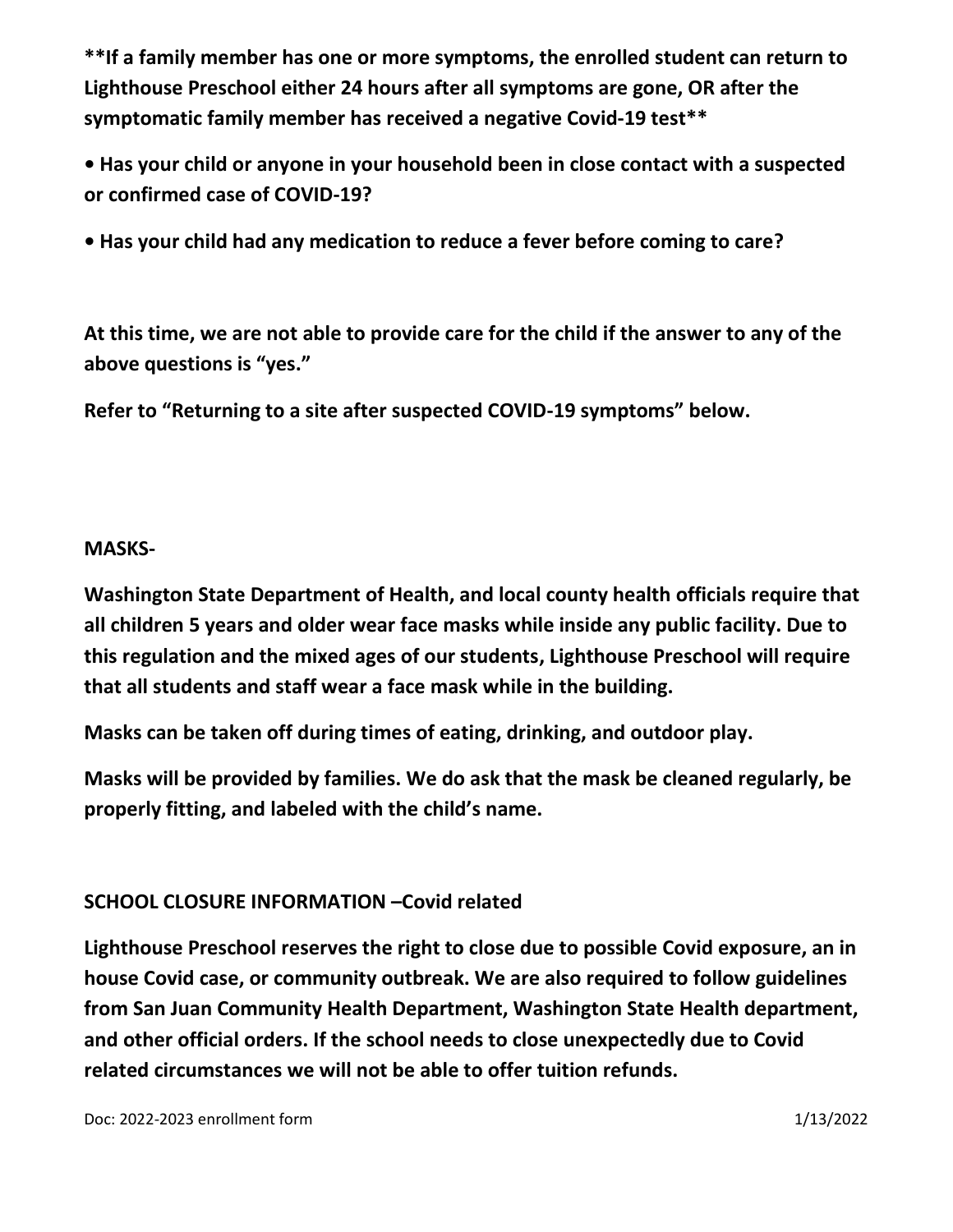**\*\*If a family member has one or more symptoms, the enrolled student can return to Lighthouse Preschool either 24 hours after all symptoms are gone, OR after the symptomatic family member has received a negative Covid-19 test\*\***

**• Has your child or anyone in your household been in close contact with a suspected or confirmed case of COVID-19?**

**• Has your child had any medication to reduce a fever before coming to care?**

**At this time, we are not able to provide care for the child if the answer to any of the above questions is "yes."** 

**Refer to "Returning to a site after suspected COVID-19 symptoms" below.** 

### **MASKS-**

**Washington State Department of Health, and local county health officials require that all children 5 years and older wear face masks while inside any public facility. Due to this regulation and the mixed ages of our students, Lighthouse Preschool will require that all students and staff wear a face mask while in the building.** 

**Masks can be taken off during times of eating, drinking, and outdoor play.** 

**Masks will be provided by families. We do ask that the mask be cleaned regularly, be properly fitting, and labeled with the child's name.**

## **SCHOOL CLOSURE INFORMATION –Covid related**

**Lighthouse Preschool reserves the right to close due to possible Covid exposure, an in house Covid case, or community outbreak. We are also required to follow guidelines from San Juan Community Health Department, Washington State Health department, and other official orders. If the school needs to close unexpectedly due to Covid related circumstances we will not be able to offer tuition refunds.**